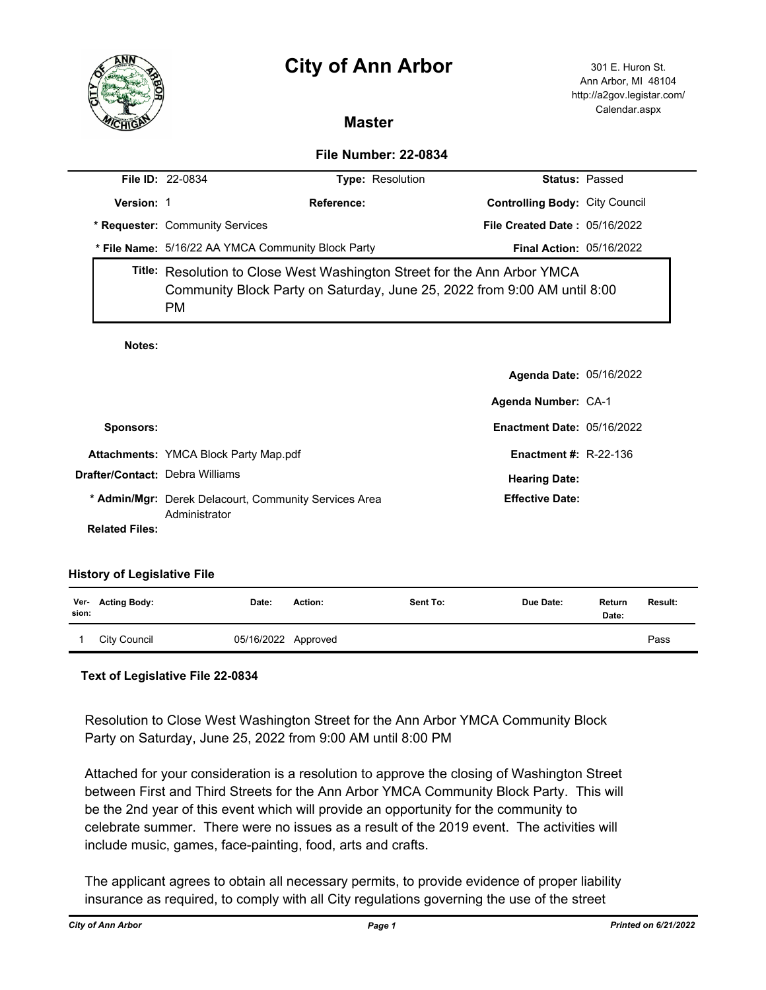# **City of Ann Arbor** 301 E. Huron St.



Ann Arbor, MI 48104 http://a2gov.legistar.com/ Calendar.aspx

## **Master**

### **File Number: 22-0834**

|                       | <b>File ID: 22-0834</b>                                                                                                                                     | Type: Resolution |                                       | <b>Status: Passed</b> |  |  |
|-----------------------|-------------------------------------------------------------------------------------------------------------------------------------------------------------|------------------|---------------------------------------|-----------------------|--|--|
| Version: 1            |                                                                                                                                                             | Reference:       | <b>Controlling Body: City Council</b> |                       |  |  |
|                       | * Requester: Community Services                                                                                                                             |                  | File Created Date: 05/16/2022         |                       |  |  |
|                       | * File Name: 5/16/22 AA YMCA Community Block Party                                                                                                          |                  | <b>Final Action: 05/16/2022</b>       |                       |  |  |
|                       | Title: Resolution to Close West Washington Street for the Ann Arbor YMCA<br>Community Block Party on Saturday, June 25, 2022 from 9:00 AM until 8:00<br>PM. |                  |                                       |                       |  |  |
| Notes:                |                                                                                                                                                             |                  |                                       |                       |  |  |
|                       |                                                                                                                                                             |                  | <b>Agenda Date: 05/16/2022</b>        |                       |  |  |
|                       |                                                                                                                                                             |                  | Agenda Number: CA-1                   |                       |  |  |
| Sponsors:             |                                                                                                                                                             |                  | <b>Enactment Date: 05/16/2022</b>     |                       |  |  |
|                       | <b>Attachments: YMCA Block Party Map.pdf</b>                                                                                                                |                  | Enactment #: $R-22-136$               |                       |  |  |
|                       | <b>Drafter/Contact: Debra Williams</b>                                                                                                                      |                  | <b>Hearing Date:</b>                  |                       |  |  |
|                       | * Admin/Mgr: Derek Delacourt, Community Services Area<br>Administrator                                                                                      |                  | <b>Effective Date:</b>                |                       |  |  |
| <b>Related Files:</b> |                                                                                                                                                             |                  |                                       |                       |  |  |
|                       |                                                                                                                                                             |                  |                                       |                       |  |  |

#### **History of Legislative File**

| sion: | Ver- Acting Body: | Date:               | Action: | Sent To: | Due Date: | Return<br>Date: | Result: |
|-------|-------------------|---------------------|---------|----------|-----------|-----------------|---------|
|       | City Council      | 05/16/2022 Approved |         |          |           |                 | Pass    |

#### **Text of Legislative File 22-0834**

Resolution to Close West Washington Street for the Ann Arbor YMCA Community Block Party on Saturday, June 25, 2022 from 9:00 AM until 8:00 PM

Attached for your consideration is a resolution to approve the closing of Washington Street between First and Third Streets for the Ann Arbor YMCA Community Block Party. This will be the 2nd year of this event which will provide an opportunity for the community to celebrate summer. There were no issues as a result of the 2019 event. The activities will include music, games, face-painting, food, arts and crafts.

The applicant agrees to obtain all necessary permits, to provide evidence of proper liability insurance as required, to comply with all City regulations governing the use of the street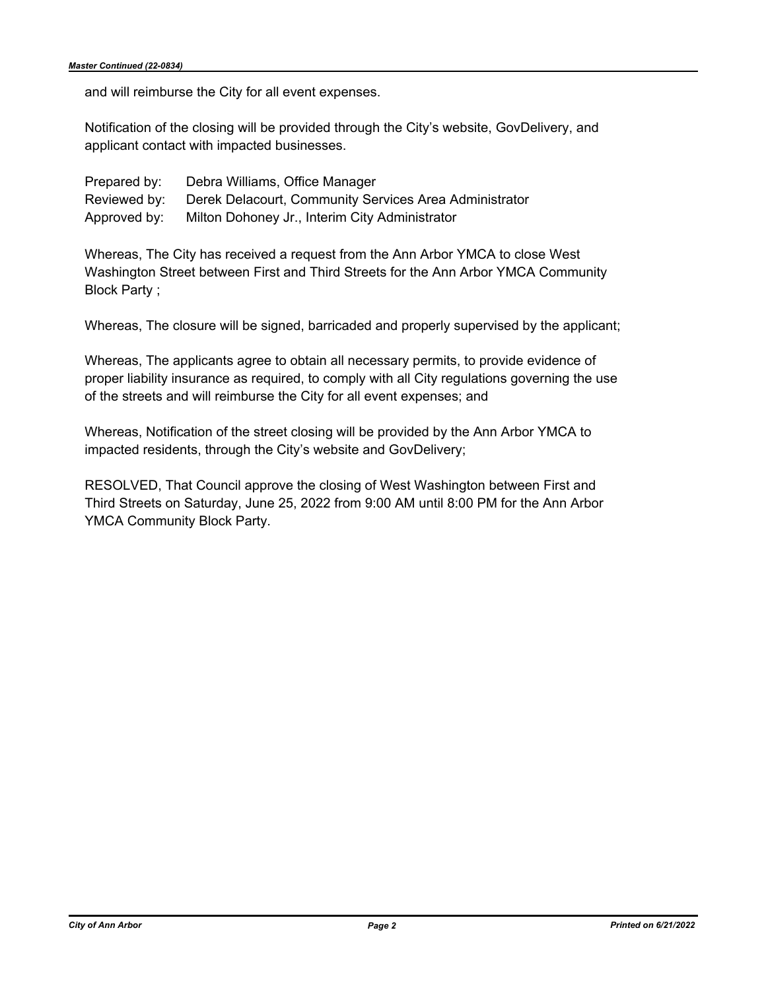and will reimburse the City for all event expenses.

Notification of the closing will be provided through the City's website, GovDelivery, and applicant contact with impacted businesses.

| Prepared by: | Debra Williams, Office Manager                                      |
|--------------|---------------------------------------------------------------------|
|              | Reviewed by: Derek Delacourt, Community Services Area Administrator |
|              | Approved by: Milton Dohoney Jr., Interim City Administrator         |

Whereas, The City has received a request from the Ann Arbor YMCA to close West Washington Street between First and Third Streets for the Ann Arbor YMCA Community Block Party ;

Whereas, The closure will be signed, barricaded and properly supervised by the applicant;

Whereas, The applicants agree to obtain all necessary permits, to provide evidence of proper liability insurance as required, to comply with all City regulations governing the use of the streets and will reimburse the City for all event expenses; and

Whereas, Notification of the street closing will be provided by the Ann Arbor YMCA to impacted residents, through the City's website and GovDelivery;

RESOLVED, That Council approve the closing of West Washington between First and Third Streets on Saturday, June 25, 2022 from 9:00 AM until 8:00 PM for the Ann Arbor YMCA Community Block Party.